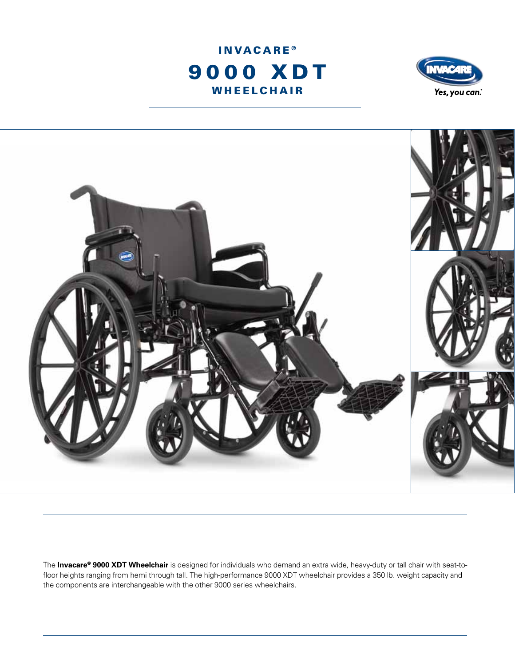





The **Invacare® 9000 XDT Wheelchair** is designed for individuals who demand an extra wide, heavy-duty or tall chair with seat-tofloor heights ranging from hemi through tall. The high-performance 9000 XDT wheelchair provides a 350 lb. weight capacity and the components are interchangeable with the other 9000 series wheelchairs.